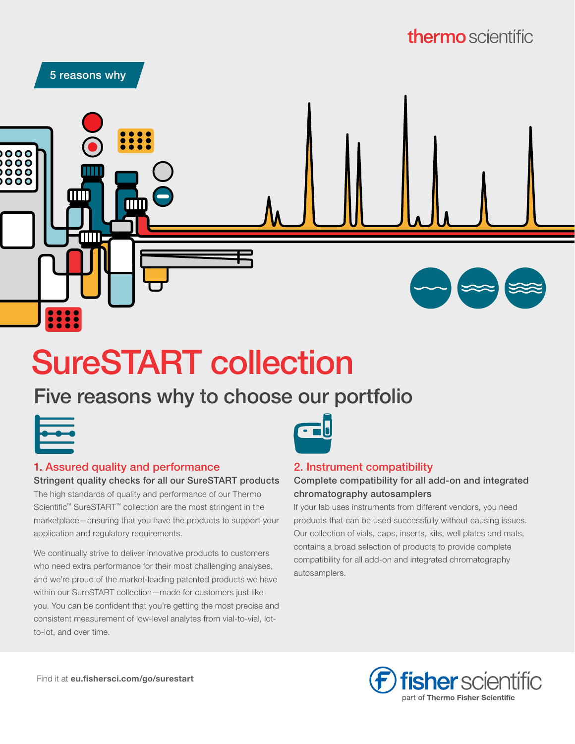# **thermo** scientific



# SureSTART collection

## Five reasons why to choose our portfolio

#### 1. Assured quality and performance

Stringent quality checks for all our SureSTART products The high standards of quality and performance of our Thermo Scientific™ SureSTART™ collection are the most stringent in the marketplace—ensuring that you have the products to support your application and regulatory requirements.

We continually strive to deliver innovative products to customers who need extra performance for their most challenging analyses, and we're proud of the market-leading patented products we have within our SureSTART collection—made for customers just like you. You can be confident that you're getting the most precise and consistent measurement of low-level analytes from vial-to-vial, lotto-lot, and over time.



#### 2. Instrument compatibility

#### Complete compatibility for all add-on and integrated chromatography autosamplers

If your lab uses instruments from different vendors, you need products that can be used successfully without causing issues. Our collection of vials, caps, inserts, kits, well plates and mats, contains a broad selection of products to provide complete compatibility for all add-on and integrated chromatography autosamplers.